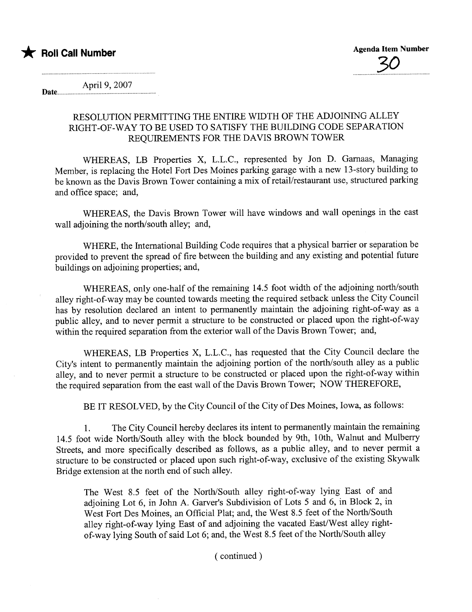

April 9, 2007<br>**Date** 

## RESOLUTION PERMITTING THE ENTIRE WIDTH OF THE ADJOINING ALLEY RIGHT-OF-WAY TO BE USED TO SATISFY THE BUILDING CODE SEPARTION REQUIREMENTS FOR THE DAVIS BROWN TOWER

WHEREAS, LB Properties X, L.L.C., represented by Jon D. Garnaas, Managing Member, is replacing the Hotel Fort Des Moines parking garage with a new 13-story building to be known as the Davis Brown Tower containing a mix of retail/restaurant use, structured parking and office space; and,

WHEREAS, the Davis Brown Tower will have windows and wall openings in the east wall adjoining the north/south alley; and,

WHERE, the International Building Code requires that a physical barrier or separation be provided to prevent the spread of fire between the building and any existing and potential future buildings on adjoining properties; and,

WHEREAS, only one-half of the remaining 14.5 foot width of the adjoining north/south alley right-of-way may be counted towards meeting the required setback unless the City Council has by resolution declared an intent to permanently maintain the adjoining right-of-way as a public alley, and to never permit a structure to be constructed or placed upon the right-of-way within the required separation from the exterior wall of the Davis Brown Tower; and,

WHEREAS, LB Properties X, L.L.C., has requested that the City Council declare the City's intent to permanently maintain the adjoining portion of the north/south alley as a public alley, and to never permit a structure to be constructed or placed upon the right-of-way within the required separation from the east wall of the Davis Brown Tower; NOW THEREFORE,

BE IT RESOLVED, by the City Council of the City of Des Moines, Iowa, as follows:

1. The City Council hereby declares its intent to permanently maintain the remaining 14.5 foot wide North/South alley with the block bounded by 9th, 10th, Walnut and Mulberr Streets, and more specifically described as follows, as a public alley, and to never permit a structure to be constructed or placed upon such right-of-way, exclusive of the existing Skywalk Bridge extension at the north end of such alley.

The West 8.5 feet of the North/South alley right-of-way lying East of and adjoining Lot 6, in John A. Garver's Subdivision of Lots 5 and 6, in Block 2, in West Fort Des Moines, an Official Plat; and, the West 8.5 feet of the North/South alley right-of-way lying East of and adjoining the vacated East/West alley rightof-way lying South of said Lot 6; and, the West 8.5 feet of the North/South alley

( continued)